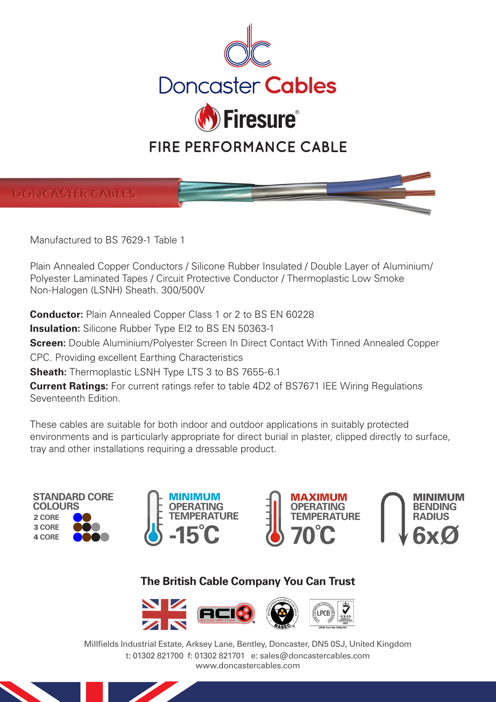



Manufactured to BS 7629-1 Table 1

Plain Annealed Copper Conductors / Silicone Rubber Insulated / Double Layer of Aluminium/ Polyester Laminated Tapes / Circuit Protective Conductor / Thermoplastic Low Smoke Non-Halogen (LSNH) Sheath. 300/500V

**Conductor:** Plain Annealed Copper Class 1 or 2 to BS EN 60228

**Insulation:** Silicone Rubber Type EI2 to BS EN 50363-1

**Screen:** Double Aluminium/Polyester Screen In Direct Contact With Tinned Annealed Copper

CPC. Providing excellent Earthing Characteristics

**Sheath:** Thermoplastic LSNH Type LTS 3 to BS 7655-6.1

**Current Ratings:** For current ratings refer to table 4D2 of BS7671 IEE Wiring Regulations Seventeenth Edition.

These cables are suitable for both indoor and outdoor applications in suitably protected environments and is particularly appropriate for direct burial in plaster, clipped directly to surface, tray and other installations requiring a dressable product.









# **The British Cable Company You Can Trust**



Millfields Industrial Estate, Arksey Lane, Bentley, Doncaster, DN5 0SJ, United Kingdom t: 01302 821700 f: 01302 821701 e: sales@doncastercables.com www.doncastercables.com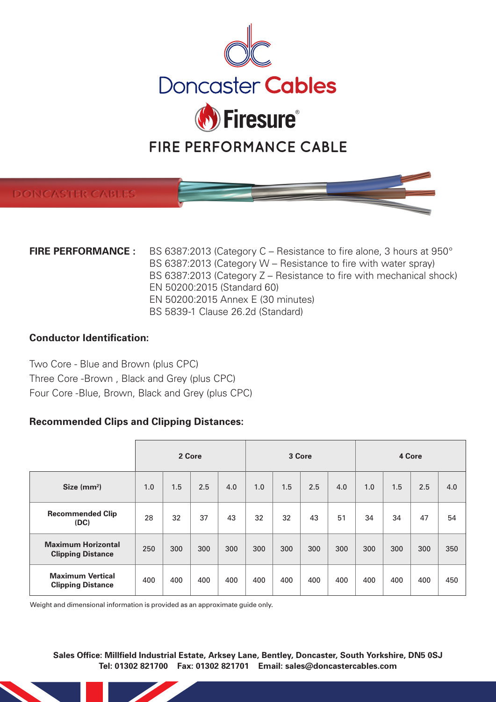

# **DONCASTER CABLE**

| <b>FIRE PERFORMANCE :</b> | BS 6387:2013 (Category C – Resistance to fire alone, 3 hours at 950° |
|---------------------------|----------------------------------------------------------------------|
|                           | BS 6387:2013 (Category W – Resistance to fire with water spray)      |
|                           | BS 6387:2013 (Category Z – Resistance to fire with mechanical shock) |
|                           | EN 50200:2015 (Standard 60)                                          |
|                           | EN 50200:2015 Annex E (30 minutes)                                   |
|                           | BS 5839-1 Clause 26.2d (Standard)                                    |

### **Conductor Identification:**

Two Core - Blue and Brown (plus CPC) Three Core -Brown , Black and Grey (plus CPC) Four Core -Blue, Brown, Black and Grey (plus CPC)

# **Recommended Clips and Clipping Distances:**

|                                                       | 2 Core |     |     | 3 Core |     |     | 4 Core |     |     |     |     |     |
|-------------------------------------------------------|--------|-----|-----|--------|-----|-----|--------|-----|-----|-----|-----|-----|
| Size $(mm2)$                                          | 1.0    | 1.5 | 2.5 | 4.0    | 1.0 | 1.5 | 2.5    | 4.0 | 1.0 | 1.5 | 2.5 | 4.0 |
| <b>Recommended Clip</b><br>(DC)                       | 28     | 32  | 37  | 43     | 32  | 32  | 43     | 51  | 34  | 34  | 47  | 54  |
| <b>Maximum Horizontal</b><br><b>Clipping Distance</b> | 250    | 300 | 300 | 300    | 300 | 300 | 300    | 300 | 300 | 300 | 300 | 350 |
| <b>Maximum Vertical</b><br><b>Clipping Distance</b>   | 400    | 400 | 400 | 400    | 400 | 400 | 400    | 400 | 400 | 400 | 400 | 450 |

Weight and dimensional information is provided as an approximate guide only.

**Sales Office: Millfield Industrial Estate, Arksey Lane, Bentley, Doncaster, South Yorkshire, DN5 0SJ Tel: 01302 821700 Fax: 01302 821701 Email: sales@doncastercables.com**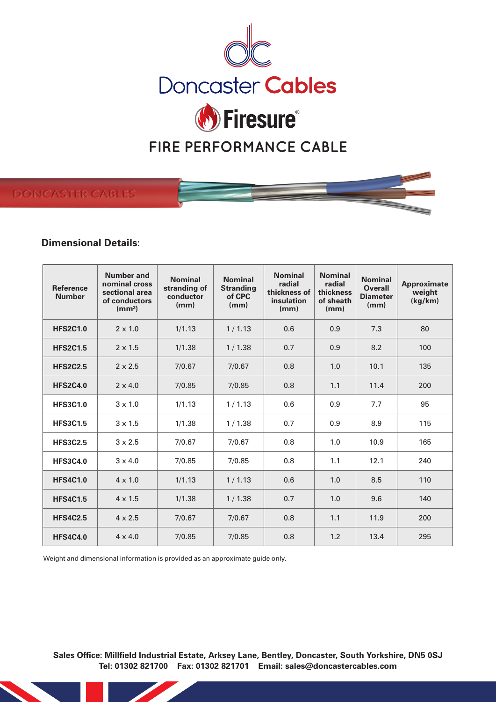

# **DONCASTER CABLE**

# **Dimensional Details:**

| <b>Reference</b><br><b>Number</b> | Number and<br>nominal cross<br>sectional area<br>of conductors<br>(mm <sup>2</sup> ) | <b>Nominal</b><br>stranding of<br>conductor<br>(mm) | <b>Nominal</b><br><b>Stranding</b><br>of CPC<br>(mm) | <b>Nominal</b><br>radial<br>thickness of<br>insulation<br>(mm) | <b>Nominal</b><br>radial<br>thickness<br>of sheath<br>(mm) | <b>Nominal</b><br><b>Overall</b><br><b>Diameter</b><br>(mm) | Approximate<br>weight<br>(kg/km) |
|-----------------------------------|--------------------------------------------------------------------------------------|-----------------------------------------------------|------------------------------------------------------|----------------------------------------------------------------|------------------------------------------------------------|-------------------------------------------------------------|----------------------------------|
| <b>HFS2C1.0</b>                   | $2 \times 1.0$                                                                       | 1/1.13                                              | 1/1.13                                               | 0.6                                                            | 0.9                                                        | 7.3                                                         | 80                               |
| <b>HFS2C1.5</b>                   | $2 \times 1.5$                                                                       | 1/1.38                                              | 1/1.38                                               | 0.7                                                            | 0.9                                                        | 8.2                                                         | 100                              |
| <b>HFS2C2.5</b>                   | $2 \times 2.5$                                                                       | 7/0.67                                              | 7/0.67                                               | 0.8                                                            | 1.0                                                        | 10.1                                                        | 135                              |
| <b>HFS2C4.0</b>                   | $2 \times 4.0$                                                                       | 7/0.85                                              | 7/0.85                                               | 0.8                                                            | 1.1                                                        | 11.4                                                        | 200                              |
| <b>HFS3C1.0</b>                   | $3 \times 1.0$                                                                       | 1/1.13                                              | 1/1.13                                               | 0.6                                                            | 0.9                                                        | 7.7                                                         | 95                               |
| <b>HFS3C1.5</b>                   | $3 \times 1.5$                                                                       | 1/1.38                                              | 1/1.38                                               | 0.7                                                            | 0.9                                                        | 8.9                                                         | 115                              |
| <b>HFS3C2.5</b>                   | $3 \times 2.5$                                                                       | 7/0.67                                              | 7/0.67                                               | 0.8                                                            | 1.0                                                        | 10.9                                                        | 165                              |
| <b>HFS3C4.0</b>                   | $3 \times 4.0$                                                                       | 7/0.85                                              | 7/0.85                                               | 0.8                                                            | 1.1                                                        | 12.1                                                        | 240                              |
| <b>HFS4C1.0</b>                   | $4 \times 1.0$                                                                       | 1/1.13                                              | 1/1.13                                               | 0.6                                                            | 1.0                                                        | 8.5                                                         | 110                              |
| <b>HFS4C1.5</b>                   | $4 \times 1.5$                                                                       | 1/1.38                                              | 1/1.38                                               | 0.7                                                            | 1.0                                                        | 9.6                                                         | 140                              |
| <b>HFS4C2.5</b>                   | $4 \times 2.5$                                                                       | 7/0.67                                              | 7/0.67                                               | 0.8                                                            | 1.1                                                        | 11.9                                                        | 200                              |
| <b>HFS4C4.0</b>                   | $4 \times 4.0$                                                                       | 7/0.85                                              | 7/0.85                                               | 0.8                                                            | 1.2                                                        | 13.4                                                        | 295                              |

Weight and dimensional information is provided as an approximate guide only.

**Sales Office: Millfield Industrial Estate, Arksey Lane, Bentley, Doncaster, South Yorkshire, DN5 0SJ Tel: 01302 821700 Fax: 01302 821701 Email: sales@doncastercables.com**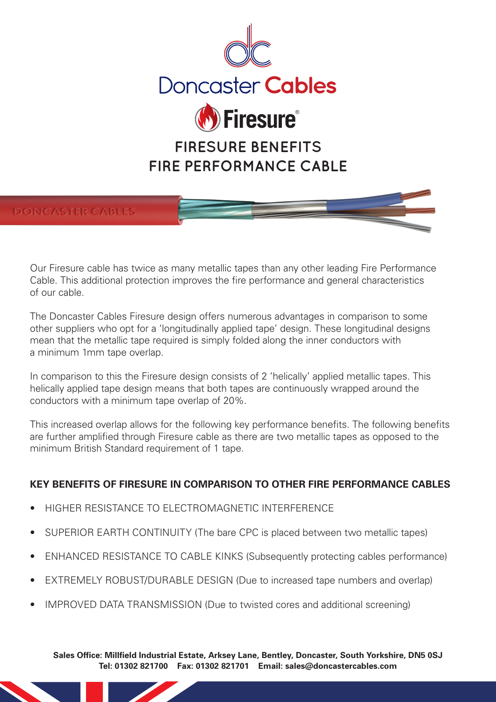



Our Firesure cable has twice as many metallic tapes than any other leading Fire Performance Cable. This additional protection improves the fire performance and general characteristics of our cable.

The Doncaster Cables Firesure design offers numerous advantages in comparison to some other suppliers who opt for a 'longitudinally applied tape' design. These longitudinal designs mean that the metallic tape required is simply folded along the inner conductors with a minimum 1mm tape overlap.

In comparison to this the Firesure design consists of 2 'helically' applied metallic tapes. This helically applied tape design means that both tapes are continuously wrapped around the conductors with a minimum tape overlap of 20%.

This increased overlap allows for the following key performance benefits. The following benefits are further amplified through Firesure cable as there are two metallic tapes as opposed to the minimum British Standard requirement of 1 tape.

# **KEY BENEFITS OF FIRESURE IN COMPARISON TO OTHER FIRE PERFORMANCE CABLES**

- HIGHER RESISTANCE TO ELECTROMAGNETIC INTERFERENCE
- SUPERIOR EARTH CONTINUITY (The bare CPC is placed between two metallic tapes)
- ENHANCED RESISTANCE TO CABLE KINKS (Subsequently protecting cables performance)
- EXTREMELY ROBUST/DURABLE DESIGN (Due to increased tape numbers and overlap)
- IMPROVED DATA TRANSMISSION (Due to twisted cores and additional screening)

**Sales Office: Millfield Industrial Estate, Arksey Lane, Bentley, Doncaster, South Yorkshire, DN5 0SJ Tel: 01302 821700 Fax: 01302 821701 Email: sales@doncastercables.com**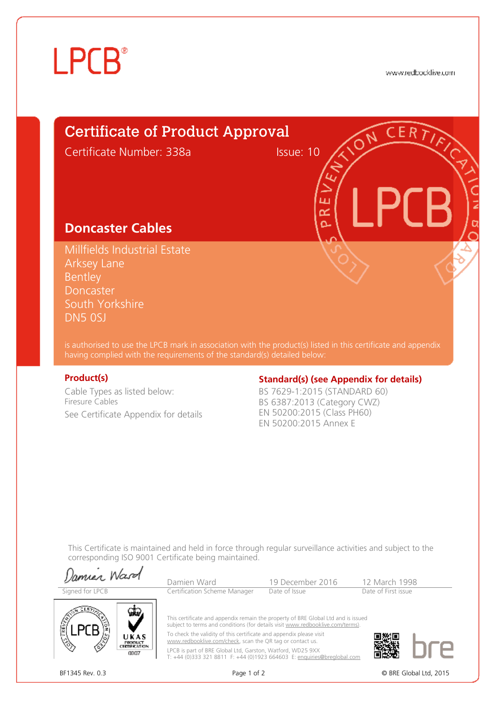# **LPCB**<sup>®</sup>

www.redbocklive.com

**CERT** 

# Certificate of Product Approval

Certificate Number: 338a Issue: 10

ш ≃  $\Delta$ 

# **Doncaster Cables**

Millfields Industrial Estate Arksey Lane **Bentley** Doncaster South Yorkshire DN5 0SJ

is authorised to use the LPCB mark in association with the product(s) listed in this certificate and appendix having complied with the requirements of the standard(s) detailed below:

Cable Types as listed below: Firesure Cables See Certificate Appendix for details

# **Product(s) Constrained Books Extending Standard(s)** (see Appendix for details)

BS 7629-1:2015 (STANDARD 60) BS 6387:2013 (Category CWZ) EN 50200:2015 (Class PH60) EN 50200:2015 Annex E

This Certificate is maintained and held in force through regular surveillance activities and subject to the corresponding ISO 9001 Certificate being maintained.